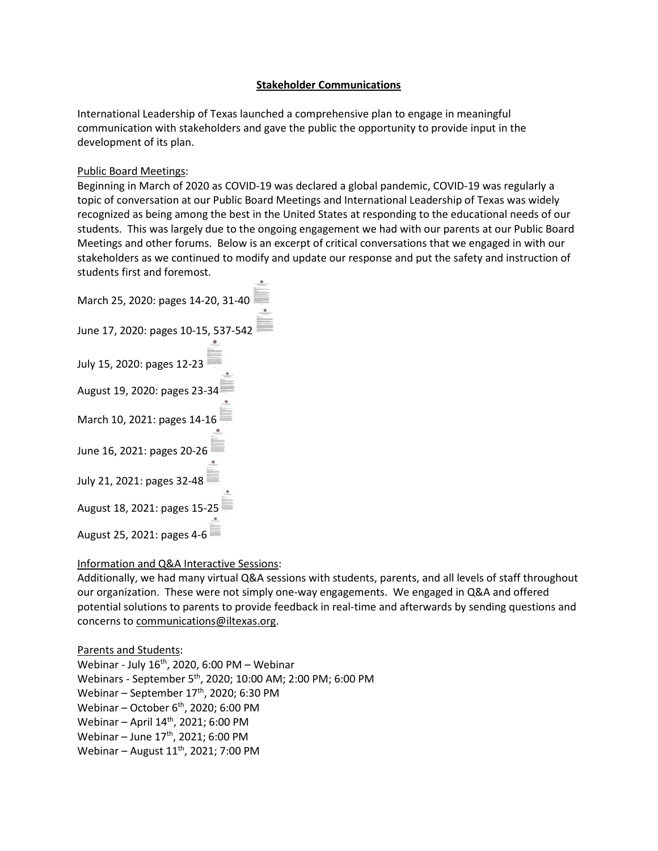## **Stakeholder Communications**

International Leadership of Texas launched a comprehensive plan to engage in meaningful communication with stakeholders and gave the public the opportunity to provide input in the development of its plan.

## Public Board Meetings:

Beginning in March of 2020 as COVID-19 was declared a global pandemic, COVID-19 was regularly a topic of conversation at our Public Board Meetings and International Leadership of Texas was widely recognized as being among the best in the United States at responding to the educational needs of our students. This was largely due to the ongoing engagement we had with our parents at our Public Board Meetings and other forums. Below is an excerpt of critical conversations that we engaged in with our stakeholders as we continued to modify and update our response and put the safety and instruction of students first and foremost.

| March 25, 2020: pages 14-20, 31-40  |
|-------------------------------------|
| June 17, 2020: pages 10-15, 537-542 |
| July 15, 2020: pages 12-23          |
| August 19, 2020: pages 23-34        |
| March 10, 2021: pages 14-16         |
| June 16, 2021: pages 20-26          |
| July 21, 2021: pages 32-48          |
| August 18, 2021: pages 15-25        |
| August 25, 2021: pages 4-6          |

## Information and Q&A Interactive Sessions:

Additionally, we had many virtual Q&A sessions with students, parents, and all levels of staff throughout our organization. These were not simply one-way engagements. We engaged in Q&A and offered potential solutions to parents to provide feedback in real-time and afterwards by sending questions and concerns t[o communications@iltexas.org.](mailto:communications@iltexas.org)

Parents and Students: Webinar - July  $16^{th}$ , 2020, 6:00 PM - Webinar Webinars - September 5th, 2020; 10:00 AM; 2:00 PM; 6:00 PM Webinar – September  $17<sup>th</sup>$ , 2020; 6:30 PM Webinar – October 6<sup>th</sup>, 2020; 6:00 PM Webinar – April  $14<sup>th</sup>$ , 2021; 6:00 PM Webinar – June 17<sup>th</sup>, 2021; 6:00 PM Webinar – August  $11<sup>th</sup>$ , 2021; 7:00 PM